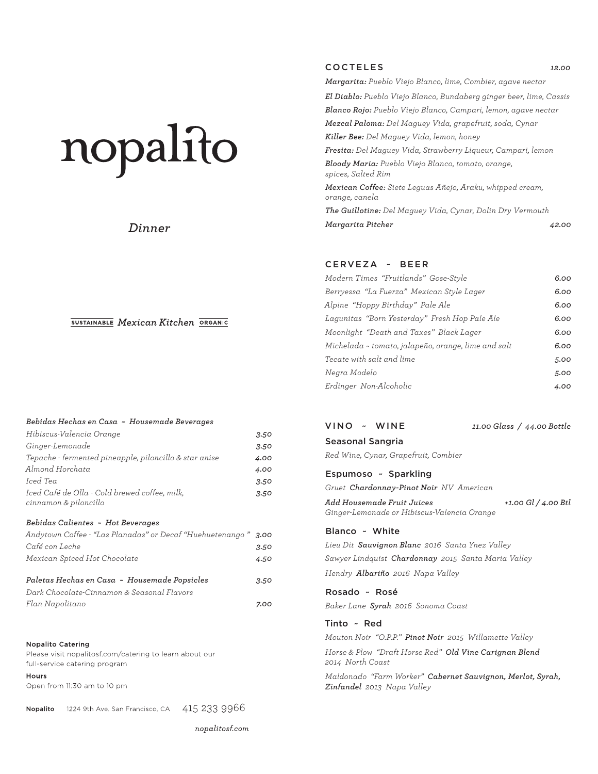# nopalito

# *Dinner*

#### SUSTAINABLE Mexican Kitchen ORGANIC

#### *Bebidas Hechas en Casa ~ Housemade Beverages*

| Hibiscus-Valencia Orange                                                                   | 3.50 |
|--------------------------------------------------------------------------------------------|------|
| Ginger-Lemonade                                                                            | 3.50 |
| Tepache - fermented pineapple, piloncillo & star anise                                     | 4.00 |
| Almond Horchata                                                                            | 4.00 |
| Iced Tea                                                                                   | 3.50 |
| Iced Café de Olla - Cold brewed coffee, milk,<br>cinnamon & piloncillo                     | 3.50 |
| Bebidas Calientes ~ Hot Beverages                                                          |      |
| Andytown Coffee - "Las Planadas" or Decaf "Huehuetenango "                                 | 3.00 |
| Café con Leche                                                                             | 3.50 |
| Mexican Spiced Hot Chocolate                                                               | 4.50 |
| Paletas Hechas en Casa ~ Housemade Popsicles<br>Dark Chocolate-Cinnamon & Seasonal Flavors | 3.50 |
| Flan Napolitano                                                                            | 7.00 |
|                                                                                            |      |
|                                                                                            |      |

#### **Nopalito Catering**

Please visit nopalitosf.com/catering to learn about our full-service catering program

#### Hours

Open from 11:30 am to 10 pm

1224 9th Ave. San Francisco, CA  $-415$   $233$   $9966$ Nopalito

nopalitosf.com

#### COCTELES *12.00*

*Margarita: Pueblo Viejo Blanco, lime, Combier, agave nectar El Diablo: Pueblo Viejo Blanco, Bundaberg ginger beer, lime, Cassis Blanco Rojo: Pueblo Viejo Blanco, Campari, lemon, agave nectar Mezcal Paloma: Del Maguey Vida, grapefruit, soda, Cynar Killer Bee: Del Maguey Vida, lemon, honey Fresita: Del Maguey Vida, Strawberry Liqueur, Campari, lemon Bloody Maria: Pueblo Viejo Blanco, tomato, orange, spices, Salted Rim Mexican Coffee: Siete Leguas Añejo, Araku, whipped cream, orange, canela The Guillotine: Del Maguey Vida, Cynar, Dolin Dry Vermouth Margarita Pitcher 42.00* 

#### CERVEZA ~ BEER

| Modern Times "Fruitlands" Gose-Style                | 6.00 |
|-----------------------------------------------------|------|
| Berryessa "La Fuerza" Mexican Style Lager           | 6.00 |
| Alpine "Hoppy Birthday" Pale Ale                    | 6.00 |
| Lagunitas "Born Yesterday" Fresh Hop Pale Ale       | 6.00 |
| Moonlight "Death and Taxes" Black Lager             | 6.00 |
| Michelada ~ tomato, jalapeño, orange, lime and salt | 6.00 |
| Tecate with salt and lime                           | 5.00 |
| Negra Modelo                                        | 5.00 |
| Erdinger Non-Alcoholic                              | 4.00 |
|                                                     |      |

| VINO - WINE      | 11.00 Glass / 44.00 Bottle |
|------------------|----------------------------|
| Seasonal Sangria |                            |

*Red Wine, Cynar, Grapefruit, Combier* 

#### Espumoso ~ Sparkling

*Gruet Chardonnay-Pinot Noir NV American*

*Add Housemade Fruit Juices +1.00 Gl / 4.00 Btl Ginger-Lemonade or Hibiscus-Valencia Orange* 

#### Blanco ~ White

*Lieu Dit Sauvignon Blanc 2016 Santa Ynez Valley Sawyer Lindquist Chardonnay 2015 Santa Maria Valley Hendry Albariño 2016 Napa Valley*

Rosado ~ Rosé

*Baker Lane Syrah 2016 Sonoma Coast*

#### Tinto ~ Red

*Mouton Noir "O.P.P." Pinot Noir 2015 Willamette Valley*

*Horse & Plow "Draft Horse Red" Old Vine Carignan Blend 2014 North Coast*

*Maldonado "Farm Worker" Cabernet Sauvignon, Merlot, Syrah, Zinfandel 2013 Napa Valley*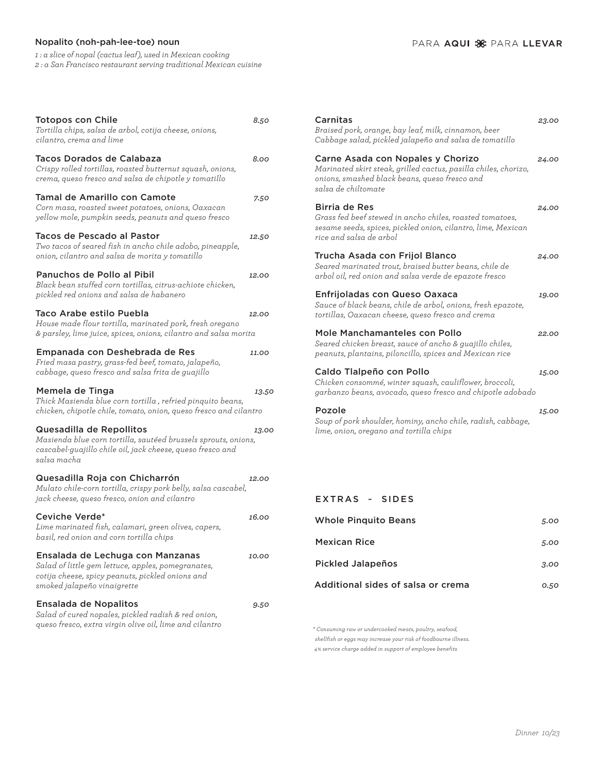## Nopalito (noh-pah-lee-toe) noun

*1 : a slice of nopal (cactus leaf), used in Mexican cooking 2 : a San Francisco restaurant serving traditional Mexican cuisine*

| <b>Totopos con Chile</b><br>Tortilla chips, salsa de arbol, cotija cheese, onions,<br>cilantro, crema and lime                                                            | 8.50  |
|---------------------------------------------------------------------------------------------------------------------------------------------------------------------------|-------|
| Tacos Dorados de Calabaza<br>Crispy rolled tortillas, roasted butternut squash, onions,<br>crema, queso fresco and salsa de chipotle y tomatillo                          | 8.00  |
| Tamal de Amarillo con Camote<br>Corn masa, roasted sweet potatoes, onions, Oaxacan<br>yellow mole, pumpkin seeds, peanuts and queso fresco                                | 7.50  |
| Tacos de Pescado al Pastor<br>Two tacos of seared fish in ancho chile adobo, pineapple,<br>onion, cilantro and salsa de morita y tomatillo                                | 12.50 |
| Panuchos de Pollo al Pibil<br>Black bean stuffed corn tortillas, citrus-achiote chicken,<br>pickled red onions and salsa de habanero                                      | 12.00 |
| Taco Arabe estilo Puebla<br>House made flour tortilla, marinated pork, fresh oregano<br>& parsley, lime juice, spices, onions, cilantro and salsa morita                  | 12.00 |
| Empanada con Deshebrada de Res<br>Fried masa pastry, grass-fed beef, tomato, jalapeño,<br>cabbage, queso fresco and salsa frita de guajillo                               | 11.00 |
|                                                                                                                                                                           |       |
| Memela de Tinga<br>Thick Masienda blue corn tortilla, refried pinquito beans,<br>chicken, chipotle chile, tomato, onion, queso fresco and cilantro                        | 13.50 |
| Quesadilla de Repollitos<br>Masienda blue corn tortilla, sautéed brussels sprouts, onions,<br>cascabel-guajillo chile oil, jack cheese, queso fresco and<br>salsa macha   | 13.00 |
| Quesadilla Roja con Chicharrón<br>Mulato chile-corn tortilla, crispy pork belly, salsa cascabel,<br>jack cheese, queso fresco, onion and cilantro                         | 12.00 |
| Ceviche Verde*<br>Lime marinated fish, calamari, green olives, capers,<br>basil, red onion and corn tortilla chips                                                        | 16.00 |
| Ensalada de Lechuga con Manzanas<br>Salad of little gem lettuce, apples, pomegranates,<br>cotija cheese, spicy peanuts, pickled onions and<br>smoked jalapeño vinaigrette | 10.00 |

| Carnitas<br>Braised pork, orange, bay leaf, milk, cinnamon, beer<br>Cabbage salad, pickled jalapeño and salsa de tomatillo                                                   | 23.00 |
|------------------------------------------------------------------------------------------------------------------------------------------------------------------------------|-------|
| Carne Asada con Nopales y Chorizo<br>Marinated skirt steak, grilled cactus, pasilla chiles, chorizo,<br>onions, smashed black beans, queso fresco and<br>salsa de chiltomate | 24.00 |
| Birria de Res<br>Grass fed beef stewed in ancho chiles, roasted tomatoes,<br>sesame seeds, spices, pickled onion, cilantro, lime, Mexican<br>rice and salsa de arbol         | 24.00 |
| Trucha Asada con Frijol Blanco<br>Seared marinated trout, braised butter beans, chile de<br>arbol oil, red onion and salsa verde de epazote fresco                           | 24.00 |
| Enfrijoladas con Queso Oaxaca<br>Sauce of black beans, chile de arbol, onions, fresh epazote,<br>tortillas, Oaxacan cheese, queso fresco and crema                           | 19.00 |
| Mole Manchamanteles con Pollo<br>Seared chicken breast, sauce of ancho & quajillo chiles,<br>peanuts, plantains, piloncillo, spices and Mexican rice                         | 22.00 |
| Caldo Tlalpeño con Pollo<br>Chicken consommé, winter squash, cauliflower, broccoli,<br>garbanzo beans, avocado, queso fresco and chipotle adobado                            | 15.00 |
| Pozole<br>Soup of pork shoulder, hominy, ancho chile, radish, cabbage,<br>lime, onion, oregano and tortilla chips                                                            | 15.00 |
|                                                                                                                                                                              |       |
| EXTRAS ~ SIDES                                                                                                                                                               |       |
| <b>Whole Pinquito Beans</b>                                                                                                                                                  | 5.00  |

| Whole Pinguito Beans               | 5.00 |
|------------------------------------|------|
| <b>Mexican Rice</b>                | 5.00 |
| <b>Pickled Jalapeños</b>           | 3.00 |
| Additional sides of salsa or crema | 0.50 |

*\* Consuming raw or undercooked meats, poultry, seafood, shellfish or eggs may increase your risk of foodbourne illness. 4% service charge added in support of employee benefits.*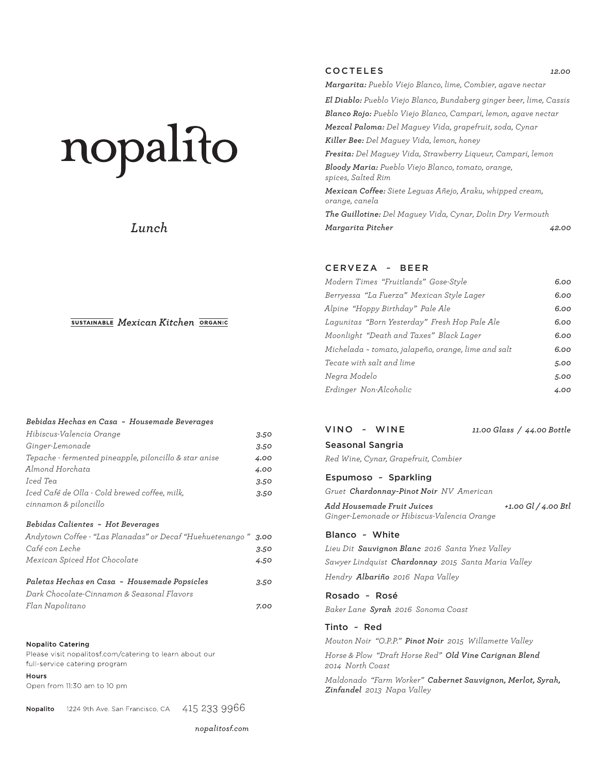# nopalito

# *Lunch*

#### SUSTAINABLE Mexican Kitchen ORGANIC

#### *Bebidas Hechas en Casa ~ Housemade Beverages*

| Hibiscus-Valencia Orange                               | 3.50 |
|--------------------------------------------------------|------|
| Ginger-Lemonade                                        | 3.50 |
| Tepache - fermented pineapple, piloncillo & star anise | 4.00 |
| Almond Horchata                                        | 4.00 |
| Iced Tea                                               | 3.50 |
| Iced Café de Olla - Cold brewed coffee, milk,          | 3.50 |
| cinnamon & piloncillo                                  |      |

#### *Bebidas Calientes ~ Hot Beverages*

| Andytown Coffee - "Las Planadas" or Decaf "Huehuetenango" 3.00 |      |
|----------------------------------------------------------------|------|
| Café con Leche                                                 | 3.50 |
| Mexican Spiced Hot Chocolate                                   | 4.50 |
| Paletas Hechas en Casa ~ Housemade Popsicles                   | 3.50 |
| Dark Chocolate-Cinnamon & Seasonal Flavors                     |      |

*Flan Napolitano 7.00*

#### **Nopalito Catering**

Please visit nopalitosf.com/catering to learn about our full-service catering program

#### Hours

Open from 11:30 am to 10 pm

Nopalito 1224 9th Ave. San Francisco, CA 415 233 9966

nopalitosf.com

# COCTELES *12.00*

*Margarita: Pueblo Viejo Blanco, lime, Combier, agave nectar El Diablo: Pueblo Viejo Blanco, Bundaberg ginger beer, lime, Cassis Blanco Rojo: Pueblo Viejo Blanco, Campari, lemon, agave nectar Mezcal Paloma: Del Maguey Vida, grapefruit, soda, Cynar Killer Bee: Del Maguey Vida, lemon, honey Fresita: Del Maguey Vida, Strawberry Liqueur, Campari, lemon Bloody Maria: Pueblo Viejo Blanco, tomato, orange, spices, Salted Rim Mexican Coffee: Siete Leguas Añejo, Araku, whipped cream, orange, canela The Guillotine: Del Maguey Vida, Cynar, Dolin Dry Vermouth Margarita Pitcher 42.00* 

#### CERVEZA ~ BEER

| Modern Times "Fruitlands" Gose-Style                | 6.00 |
|-----------------------------------------------------|------|
| Berryessa "La Fuerza" Mexican Style Lager           | 6.00 |
| Alpine "Hoppy Birthday" Pale Ale                    | 6.00 |
| Lagunitas "Born Yesterday" Fresh Hop Pale Ale       | 6.00 |
| Moonlight "Death and Taxes" Black Lager             | 6.00 |
| Michelada ~ tomato, jalapeño, orange, lime and salt | 6.00 |
| Tecate with salt and lime                           | 5.00 |
| Negra Modelo                                        | 5.00 |
| Erdinger Non-Alcoholic                              | 4.00 |

| VINO ~ WINE                                                                                                                                                                       | 11.00 Glass / 44.00 Bottle |
|-----------------------------------------------------------------------------------------------------------------------------------------------------------------------------------|----------------------------|
| Seasonal Sangria<br>Red Wine, Cynar, Grapefruit, Combier                                                                                                                          |                            |
| Espumoso ~ Sparkling<br>Gruet Chardonnay-Pinot Noir NV American                                                                                                                   |                            |
| Add Housemade Fruit Juices<br>Ginger-Lemonade or Hibiscus-Valencia Orange                                                                                                         | +1.00 Gl / 4.00 Btl        |
| Blanco ~ White<br>Lieu Dit <b>Sauvignon Blanc</b> 2016 Santa Ynez Valley<br>Sawyer Lindquist <b>Chardonnay</b> 2015 Santa Maria Valley<br>Hendry <b>Albariño</b> 2016 Napa Valley |                            |
| Rosado ~ Rosé<br>Baker Lane <b>Syrah</b> 2016  Sonoma Coast                                                                                                                       |                            |
| Tinto ~ Red<br>Mouton Noir "O.P.P." <b>Pinot Noir</b> 2015 Willamette Valley<br>Horse & Plow "Draft Horse Red" Old Vine Carignan Blend<br>2014  North Coast                       |                            |
| Maldonado "Farm Worker" Cabernet Sauvignon, Merlot, Syrah,<br>Zinfandel 2013 Napa Valley                                                                                          |                            |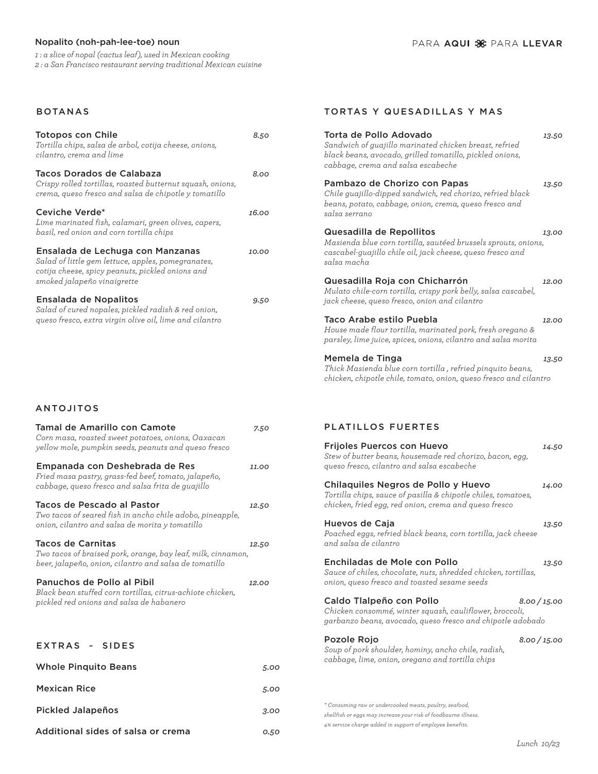## Nopalito (noh-pah-lee-toe) noun

*1 : a slice of nopal (cactus leaf), used in Mexican cooking 2 : a San Francisco restaurant serving traditional Mexican cuisine*

### BOTANAS

| <b>Totopos con Chile</b><br>Tortilla chips, salsa de arbol, cotija cheese, onions,<br>cilantro, crema and lime                                                            | 8.50  |
|---------------------------------------------------------------------------------------------------------------------------------------------------------------------------|-------|
| Tacos Dorados de Calabaza<br>Crispy rolled tortillas, roasted butternut squash, onions,<br>crema, queso fresco and salsa de chipotle y tomatillo                          | 8.00  |
| Ceviche Verde*<br>Lime marinated fish, calamari, green olives, capers,<br>basil, red onion and corn tortilla chips                                                        | 16.00 |
| Ensalada de Lechuga con Manzanas<br>Salad of little gem lettuce, apples, pomegranates,<br>cotija cheese, spicy peanuts, pickled onions and<br>smoked jalapeño vinaigrette | 10.00 |
| Ensalada de Nopalitos<br>Salad of cured nopales, pickled radish & red onion,<br>queso fresco, extra virgin olive oil, lime and cilantro                                   | 9.50  |

# ANTOJITOS

| Tamal de Amarillo con Camote<br>Corn masa, roasted sweet potatoes, onions, Oaxacan<br>yellow mole, pumpkin seeds, peanuts and queso fresco  | 7.50  |
|---------------------------------------------------------------------------------------------------------------------------------------------|-------|
| Empanada con Deshebrada de Res<br>Fried masa pastry, grass-fed beef, tomato, jalapeño,<br>cabbage, queso fresco and salsa frita de guajillo | 11.00 |
| Tacos de Pescado al Pastor<br>Two tacos of seared fish in ancho chile adobo, pineapple,<br>onion, cilantro and salsa de morita y tomatillo  | 12.50 |
| Tacos de Carnitas<br>Two tacos of braised pork, orange, bay leaf, milk, cinnamon,<br>beer, jalapeño, onion, cilantro and salsa de tomatillo | 12.50 |
| Panuchos de Pollo al Pibil<br>Black bean stuffed corn tortillas, citrus-achiote chicken,<br>pickled red onions and salsa de habanero        | 12.00 |
| EXTRAS ~ SIDES                                                                                                                              |       |
| <b>Whole Pinguito Beans</b>                                                                                                                 | 5.00  |
| <b>Mexican Rice</b>                                                                                                                         | 5.00  |
| <b>Pickled Jalapeños</b>                                                                                                                    | 3.00  |
| Additional sides of salsa or crema                                                                                                          | 0.50  |

#### TORTAS Y QUESADILLAS Y MAS

| Torta de Pollo Adovado<br>Sandwich of guajillo marinated chicken breast, refried<br>black beans, avocado, grilled tomatillo, pickled onions,<br>cabbage, crema and salsa escabeche     | 13.50 |
|----------------------------------------------------------------------------------------------------------------------------------------------------------------------------------------|-------|
| Pambazo de Chorizo con Papas<br>Chile guajillo-dipped sandwich, red chorizo, refried black<br>beans, potato, cabbage, onion, crema, queso fresco and<br>salsa serrano                  | 13.50 |
| Quesadilla de Repollitos<br>Masienda blue corn tortilla, sautéed brussels sprouts, onions,<br>cascabel-guajillo chile oil, jack cheese, queso fresco and<br>salsa macha                | 13.00 |
| Quesadilla Roja con Chicharrón<br>Mulato chile-corn tortilla, crispy pork belly, salsa cascabel,<br>jack cheese, queso fresco, onion and cilantro                                      | 12.00 |
| Taco Arabe estilo Puebla<br>House made flour tortilla, marinated pork, fresh oregano &<br>parsley, lime juice, spices, onions, cilantro and salsa morita                               | 12.00 |
| Memela de Tinga<br>Thick Masienda blue corn tortilla, refried pinquito beans,<br>chicken, chipotle chile, tomato, onion, queso fresco and cilantro                                     | 13.50 |
| <b>PLATILLOS FUERTES</b>                                                                                                                                                               |       |
| <b>Frijoles Puercos con Huevo</b><br>Stew of butter beans, housemade red chorizo, bacon, egg,<br>queso fresco, cilantro and salsa escabeche                                            | 14.50 |
| Chilaquiles Negros de Pollo y Huevo<br>Tortilla chips, sauce of pasilla & chipotle chiles, tomatoes,<br>chicken, fried egg, red onion, crema and queso fresco                          | 14.00 |
| Huevos de Caja<br>Poached eggs, refried black beans, corn tortilla, jack cheese<br>and salsa de cilantro                                                                               | 13.50 |
| Enchiladas de Mole con Pollo<br>Sauce of chiles, chocolate, nuts, shredded chicken, tortillas,<br>onion, queso fresco and toasted sesame seeds                                         | 13.50 |
| Caldo Tlalpeño con Pollo<br>8.00 / 15.00<br>Chicken consommé, winter squash, cauliflower, broccoli,<br>garbanzo beans, avocado, queso fresco and chipotle adobado                      |       |
| Pozole Rojo<br>8.00 / 15.00<br>Soup of pork shoulder, hominy, ancho chile, radish,<br>cabbage, lime, onion, oregano and tortilla chips                                                 |       |
| * Consuming raw or undercooked meats, poultry, seafood,<br>shellfish or eggs may increase your risk of foodbourne illness.<br>4% service charge added in support of employee benefits. |       |